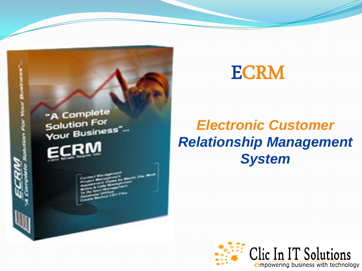

### ECRM

### *Electronic Customer Relationship Management System*

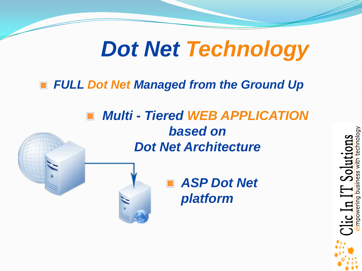## *Dot Net Technology*

#### *FULL Dot Net Managed from the Ground Up*

### *Multi - Tiered WEB APPLICATION based on Dot Net Architecture*



### ■ ASP Dot Net *platform*

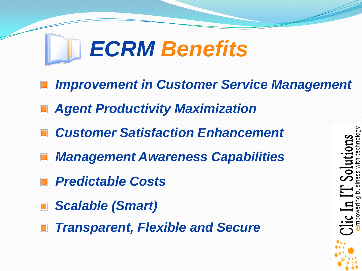# *ECRM Benefits*

- *Improvement in Customer Service Management*
- *Agent Productivity Maximization*
- *Customer Satisfaction Enhancement*
- *Management Awareness Capabilities*
- *Predictable Costs*
- *Scalable (Smart)*
- *Transparent, Flexible and Secure*

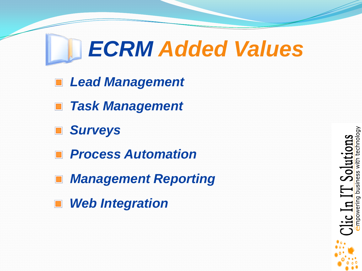# *ECRM Added Values*

- *Lead Management*
- *Task Management*
- *Surveys*
- *Process Automation*
- *Management Reporting*
- *Web Integration*

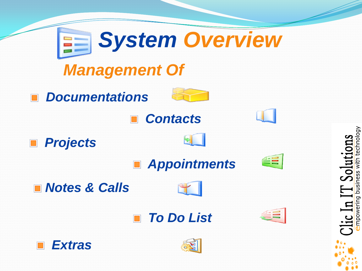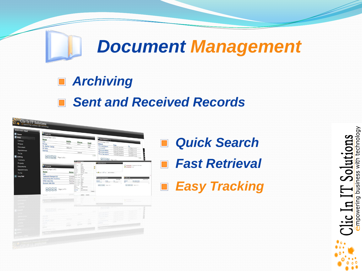### *Document Management*

*Archiving*

#### *Sent and Received Records*



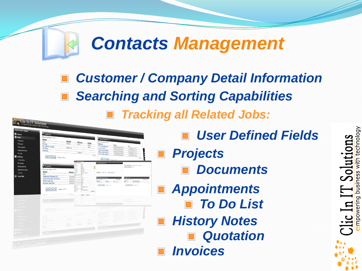## *Contacts Management*

*Customer / Company Detail Information Tracking all Related Jobs: Searching and Sorting Capabilities*

> with technology lons

> > business

mpowering

Solut

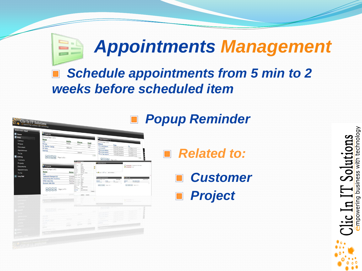### *Appointments Management*

technology

business

empowering

-<br>-<br>-

### *Schedule appointments from 5 min to 2 weeks before scheduled item*

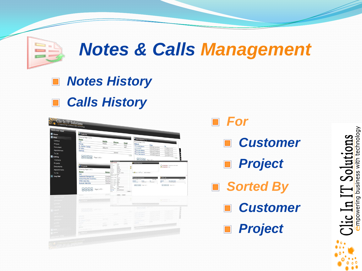## *Notes & Calls Management*

#### *Notes History*   $\Box$ *Calls History*  $\Box$

Clic In IT Solutions r. Bashar Dahar **Name** Log O



- *Customer*
- *Project*
- *Sorted By*
	- *Customer*
	- *Project*

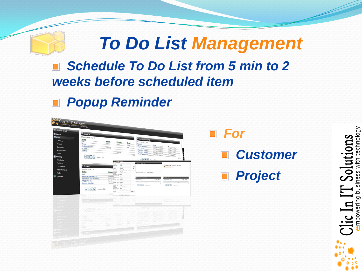### *To Do List Management*

### *Schedule To Do List from 5 min to 2 weeks before scheduled item*

*Popup Reminder*

| <b>E</b> Home<br><b>E</b> New<br>Contact<br>Project                 | <sup>T</sup> Contacts<br>Showing Page 1 of 3<br>Name<br>Mobile<br>Vick<br>Phonee<br>Mobile<br>Minda<br>Work<br>Mr. Bashar Dahan                                                                                                                                                                                                                                                                                                                                                                                                                                                                                                                                                                                                                                                                                                                                                                                | Appointments (*)<br>Showing Page 1 of 3<br>Email<br>Subject<br>From<br>Work<br>This is test Accoint                                                                                                                                                                           | To                                                                                                                                                                                                                                                       | For               |
|---------------------------------------------------------------------|----------------------------------------------------------------------------------------------------------------------------------------------------------------------------------------------------------------------------------------------------------------------------------------------------------------------------------------------------------------------------------------------------------------------------------------------------------------------------------------------------------------------------------------------------------------------------------------------------------------------------------------------------------------------------------------------------------------------------------------------------------------------------------------------------------------------------------------------------------------------------------------------------------------|-------------------------------------------------------------------------------------------------------------------------------------------------------------------------------------------------------------------------------------------------------------------------------|----------------------------------------------------------------------------------------------------------------------------------------------------------------------------------------------------------------------------------------------------------|-------------------|
| Document<br>Appointment<br>To Do<br>Listing<br>Contacts<br>Projects | 6651379<br>Mr Wibo<br>Rashida<br>804818<br><sup>14</sup> Schwart Col.<br>Contact Detail                                                                                                                                                                                                                                                                                                                                                                                                                                                                                                                                                                                                                                                                                                                                                                                                                        | 5/30/2007 09:30:00<br>asdi<br>وقنيشيان<br>5/30/2007 09:30:00<br>This is test Appoint<br>5/30/2007 09:30:00<br>This is test Appoint<br>5/30/2007 09:30:00<br>This is Test Appoint<br>5/30/2007 09:30:00<br>123<br>$R$ $R$ $R$ $R$ $R$ $R$ $P$<br>. History Notes Live          | U17/2007 5:0:10<br>1/17/2007 \$ :0:0<br>1/17/2007 5:0:0<br>1/17/2007 5:0:0<br>1/17/2007 5:0:0<br>123                                                                                                                                                     | <b>E</b> Customer |
| Documents<br>Appointments<br>To Do<br>Log Out                       | <i><b><i>i</i></b></i> Projects<br>Showing Page 1 of 2<br>$\underbrace{\text{Status}}_{\text{infty max}}$<br>Name<br>test<br>Address : Work Wark<br>Address 197 and<br>Resturant Manager123<br>Comple <sup>6</sup><br>res : the gap to<br>Accounting And Inventory<br>Continu <sup>7</sup><br>crome ( Home<br><b>NTEC Web Site</b><br>Pendingmune : Work Werk<br>$\begin{tabular}{l c c c c c} \hline \multicolumn{3}{c}{\textbf{Conform}}\hspace{-0.2cm} \multicolumn{3}{c}{\textbf{Proof}}\hspace{-0.2cm} \multicolumn{3}{c}{\textbf{Proof}}\hspace{-0.2cm} \multicolumn{3}{c}{\textbf{Proof}}\hspace{-0.2cm} \multicolumn{3}{c}{\textbf{Proof}}\hspace{-0.2cm} \multicolumn{3}{c}{\textbf{Conform}}\hspace{-0.2cm} \multicolumn{3}{c}{\textbf{Proof}}\hspace{-0.2cm} \multicolumn{3}{c}{\textbf{Conform}}\hspace{-0.2cm} \multicolumn$<br><b>Bunyan Web Site</b><br>Enal : Work : Work<br><b>Winds Side</b> | Vicky<br>Vick<br>Family<br>Default<br>City In IT<br>Job Title<br><b>a Chang Call Call Add To History !</b><br>Address / Home<br><b>Carlister Appointments</b><br>Shewing Page 1 of<br>Frees<br>$\frac{10}{12701/2007}$<br>and distribution.<br>www.claimt.com<br><b>Dover</b> | P 14/84/2010 Testiglions Call made<br>Обновного по<br><b>Nice Labor</b><br>Shawing Page 1 of 1<br><b>Due Date/Time</b><br>Subject<br>L/1/2010 texting<br>$\boxed{[\alpha][\alpha][\alpha][\alpha][\alpha]} \quad \text{for all } \alpha \in \mathbb{N}.$ | <b>Project</b>    |
|                                                                     |                                                                                                                                                                                                                                                                                                                                                                                                                                                                                                                                                                                                                                                                                                                                                                                                                                                                                                                |                                                                                                                                                                                                                                                                               |                                                                                                                                                                                                                                                          |                   |
|                                                                     | <b>CALL ST. ALL PACIFICATI</b>                                                                                                                                                                                                                                                                                                                                                                                                                                                                                                                                                                                                                                                                                                                                                                                                                                                                                 | Update Center                                                                                                                                                                                                                                                                 |                                                                                                                                                                                                                                                          |                   |

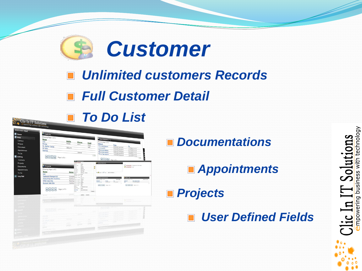

### *Unlimited customers Records*

### *Full Customer Detail*



*Documentations*

*Appointments*

*Projects*

*User Defined Fields*  $\blacksquare$ 

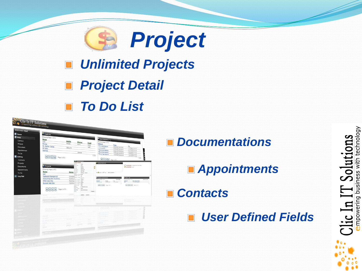

### *Unlimited Projects*

### *Project Detail*

*To Do List*

| Welcome! asjad     |                                       |                       |                                             |                          |               |                                                   |                                          |                                                                                                                                                                                                    |          |
|--------------------|---------------------------------------|-----------------------|---------------------------------------------|--------------------------|---------------|---------------------------------------------------|------------------------------------------|----------------------------------------------------------------------------------------------------------------------------------------------------------------------------------------------------|----------|
| <b>E</b> Home      | <sup>T</sup> Contacts                 |                       |                                             |                          |               |                                                   |                                          |                                                                                                                                                                                                    |          |
| <b>E</b> New       | Showing Page 1 of 3                   |                       |                                             |                          |               |                                                   |                                          |                                                                                                                                                                                                    |          |
|                    | Name                                  |                       |                                             |                          |               | Appointments ( * )                                |                                          |                                                                                                                                                                                                    |          |
| Contact            | Vick                                  | Mobile                | Phonee                                      |                          |               | Showing Page 1 of 3                               |                                          |                                                                                                                                                                                                    |          |
| Project            | Milinda                               | Mobile                | Work                                        |                          | Email<br>Work | Subject                                           | From                                     |                                                                                                                                                                                                    |          |
| Document           | Mr. Bashar Dahan                      | 6651379               |                                             |                          | asdi          | This is test Appoint<br>والمخبادة                 | 5/10/2007 09:30:00                       | To                                                                                                                                                                                                 |          |
| <b>Appointment</b> | Mr Wibo<br>Rashida                    |                       |                                             |                          |               | This is test Appoint                              | 5/30/2007 09:30:00                       | 1/12/2007 5:40:10<br>1/17/2007 5:0:0                                                                                                                                                               |          |
| To Do              |                                       |                       | 804818                                      |                          |               | This is test Appoint                              | 5/30/2007 09:30:00<br>5/30/2007 09:30:00 | 1/17/2007 5:0:0                                                                                                                                                                                    |          |
|                    |                                       |                       |                                             |                          | 123           | This is Test Appoint                              | 5/30/2007 09:30:00                       | 1/17/2007 5:0:0<br>1/17/2007 5:0:0                                                                                                                                                                 |          |
| Listing            |                                       |                       |                                             |                          |               |                                                   |                                          | 123                                                                                                                                                                                                | ۱q       |
| Contacts           |                                       |                       | <b>La la contenzante</b>                    |                          |               | $R$ $R$ $R$ $R$ $R$ $R$                           |                                          |                                                                                                                                                                                                    |          |
| Projects           |                                       |                       | Contact Detail                              |                          |               | <b>Building Substitute</b>                        |                                          |                                                                                                                                                                                                    |          |
| Documents          | <b><i>i</i></b> Projects              |                       | cuin As                                     | Vide<br>Vok              |               |                                                   |                                          | P 14/84/2010 Testiglions Call made                                                                                                                                                                 |          |
|                    | Showing Page 1 of 2                   |                       | sting.                                      | <b>Family</b><br>Default | u,            |                                                   |                                          | <b>В нуверного</b> пос                                                                                                                                                                             |          |
| Appointments       | Name                                  |                       | Company<br>Jub 1954                         | Civi In IT<br>Job Title  |               |                                                   |                                          |                                                                                                                                                                                                    |          |
| To Do              | test                                  |                       | Status Antonio<br>Address / Wartz Wartz     | Address / Home           |               | <b>a Cheese Call Call Add To Holary !</b>         |                                          |                                                                                                                                                                                                    |          |
| Log Out            | Resturant Manager123                  | Completi-             | Address : Bill                              | in a                     |               |                                                   |                                          |                                                                                                                                                                                                    |          |
|                    | Accounting And Inventory              | Continu <sup>Tr</sup> | these : Sho gog To<br>ford : Home   Home    |                          |               | <b>Control Appointment</b><br>Shewing Page 1 of 1 |                                          | <b>STOP OF</b><br>If it I age t please                                                                                                                                                             | New To O |
|                    | <b>NTEC Web Site</b>                  |                       | Pendingmune : Non Imag                      |                          |               | Sehjest<br>Frees<br>30/05/2007                    | $\frac{10}{17701/2007}$                  | <b>Sobject</b><br><b>Due Date/Time</b><br>$\overline{\phantom{a}}$<br>L/L/2010 texting                                                                                                             |          |
|                    | <b>Bunyan Web Site</b>                |                       | Continuing there there meets<br>Phone / Fax | <b>Fax</b>               |               | <b>BEER</b> PARTIES                               |                                          | $\begin{bmatrix} 0 \\ 0 \end{bmatrix}$ $\begin{bmatrix} 0 \\ 0 \end{bmatrix}$ $\begin{bmatrix} 0 \\ 0 \end{bmatrix}$ $\begin{bmatrix} 0 \\ 0 \end{bmatrix}$ $\begin{bmatrix} 0 \\ 0 \end{bmatrix}$ |          |
|                    |                                       |                       | Ernel (<br>Barannal                         | amr@click.com            |               |                                                   |                                          |                                                                                                                                                                                                    |          |
|                    | $H$ $\bullet$ $H$ Page 1 of 2 $\cdot$ |                       | Email : Work<br>Web Site                    | more<br>www.closet.com   |               |                                                   |                                          |                                                                                                                                                                                                    |          |
|                    |                                       |                       | i.                                          |                          | <b>Dones</b>  |                                                   |                                          |                                                                                                                                                                                                    |          |
|                    | <b>TENNIS</b>                         |                       |                                             | Centel<br>Update         |               |                                                   |                                          |                                                                                                                                                                                                    |          |
|                    |                                       |                       |                                             |                          |               |                                                   |                                          |                                                                                                                                                                                                    |          |
|                    |                                       |                       |                                             |                          |               |                                                   |                                          |                                                                                                                                                                                                    |          |
|                    |                                       |                       |                                             |                          |               |                                                   |                                          |                                                                                                                                                                                                    |          |
|                    |                                       |                       |                                             |                          |               |                                                   |                                          |                                                                                                                                                                                                    |          |
|                    |                                       |                       |                                             |                          |               |                                                   |                                          |                                                                                                                                                                                                    |          |
|                    |                                       |                       |                                             |                          |               |                                                   |                                          |                                                                                                                                                                                                    |          |
|                    |                                       |                       |                                             |                          |               |                                                   |                                          |                                                                                                                                                                                                    |          |
|                    |                                       |                       |                                             |                          |               |                                                   |                                          |                                                                                                                                                                                                    |          |
|                    |                                       |                       |                                             |                          |               |                                                   |                                          |                                                                                                                                                                                                    |          |
|                    |                                       |                       |                                             |                          |               |                                                   |                                          |                                                                                                                                                                                                    |          |
|                    |                                       |                       |                                             |                          |               |                                                   |                                          |                                                                                                                                                                                                    |          |
|                    | 23/25/3                               |                       |                                             |                          |               |                                                   |                                          |                                                                                                                                                                                                    |          |
|                    |                                       |                       |                                             |                          |               |                                                   |                                          |                                                                                                                                                                                                    |          |
|                    | 202                                   |                       |                                             |                          |               |                                                   |                                          |                                                                                                                                                                                                    |          |
|                    |                                       |                       |                                             |                          |               |                                                   |                                          |                                                                                                                                                                                                    |          |

*Documentations*

*Appointments*

*Contacts*

*User Defined Fields*

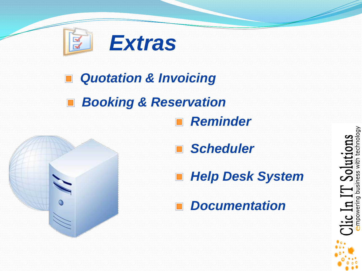

#### *Quotation & Invoicing*  $\Box$

#### *Booking & Reservation*  $\Box$ *Reminder*



*Scheduler*

*Help Desk System*  $\Box$ 

*Documentation*

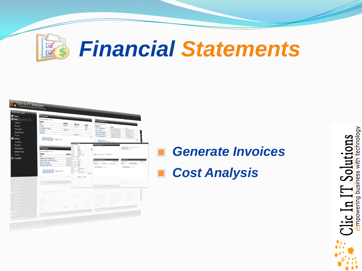



### *Generate Invoices Cost Analysis*

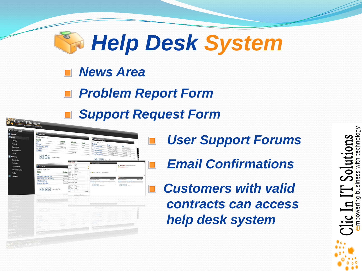

- *News Area*
- *Problem Report Form*
	- *Support Request Form*

| <sup>U</sup> Contacts                                                                                  |                       |                                                           |                              |              |                                              |                                          |                                                         |            |
|--------------------------------------------------------------------------------------------------------|-----------------------|-----------------------------------------------------------|------------------------------|--------------|----------------------------------------------|------------------------------------------|---------------------------------------------------------|------------|
| Showing Page 1 of 3                                                                                    |                       |                                                           |                              |              |                                              |                                          |                                                         |            |
| Name<br>Vick                                                                                           | Mobile                |                                                           |                              |              | <b>E</b> Appointments ( * )                  |                                          |                                                         |            |
| Minda                                                                                                  | Mobile                | Phonee                                                    |                              | Email        | Showing Page 1 of 3<br>Subject               |                                          |                                                         |            |
| Mr. Bashar Dahan                                                                                       |                       | Work                                                      |                              | Work         | This is test Appoint                         | From                                     | To                                                      |            |
| Mr Wibo                                                                                                | 6651379               |                                                           |                              | auf          | والمخباد                                     | 5/30/2007 09:30:00<br>5/30/2007 09:30:00 | U12/2007 5: 0: 10                                       |            |
| Rashida                                                                                                |                       |                                                           |                              |              | This is test Appoint                         | 5/30/2007 09:30:00                       | 1/17/2007 5:0:0                                         |            |
|                                                                                                        |                       | 804818                                                    |                              |              | This is test Appoint<br>This is Test Appoint | 5/30/2007 09:30:00                       | 1/17/2007 S :0 :0<br>1/17/2007 5:0:0                    | c<br>Ы     |
|                                                                                                        |                       |                                                           |                              | 123          |                                              | 5/30/2007 09:30:00                       | V17/2007 5:0:0                                          |            |
|                                                                                                        |                       |                                                           |                              |              | $R$ $R$ $R$ $R$ $R$ $R$ $R$                  |                                          | 123                                                     | g<br>g     |
|                                                                                                        |                       | <b>Statistics</b> Contact Defail<br><b>Contact Detail</b> |                              |              |                                              |                                          |                                                         |            |
|                                                                                                        |                       |                                                           | Video                        |              | <b>California Bullet Line</b>                |                                          | P 14/64/2010 Technician Call made                       |            |
| <b><i>le</i></b> Projects                                                                              |                       | sin As                                                    | <b>Viol</b><br><b>Family</b> | ø            |                                              |                                          | $\mathbf{d}$ 14/04/2010 100                             |            |
| Showing Page 1 of 2                                                                                    |                       | etting<br>Company                                         | Default<br>City In IT        | э            |                                              |                                          |                                                         |            |
| Name                                                                                                   |                       | <b>Sub Title</b><br>Status Address                        | Job Title<br>Address : Home  |              | . O Notes 0 2 Call 444 To History 1          |                                          |                                                         |            |
| test                                                                                                   |                       | Address : Work Werk<br>Address : Bill                     |                              |              |                                              |                                          |                                                         |            |
| Resturant Manager123                                                                                   | Completi-             | <b>Mittal I Sha She To</b>                                | <b>BO</b>                    |              | <b>County Appointment</b>                    |                                          | <b>STOP OF</b>                                          |            |
| Accounting And Inventory<br><b>NTEC Web Site</b>                                                       | Continu <sup>To</sup> | Pendingmune : Non Imag                                    | mone                         |              | Shewing Page 1 of 1<br>Soldent               | <b>Sierre Ains</b>                       | Showing Page 1 of 1<br>Subject.<br><b>Due Date/Time</b> | New Yor On |
| <b>Bunyan Web Site</b>                                                                                 |                       | Continuing there made meter                               |                              |              | Frees<br>30/05/2007                          | $\frac{10}{1701/2007}$                   | L/1/2010 texting                                        |            |
|                                                                                                        |                       | Phone / Fax<br><b>Errel</b> (                             | <b>Fax</b>                   |              | <b>BEER</b> PARTIES                          |                                          |                                                         |            |
| $\begin{array}{ c c c c c }\hline \textbf{H} & \textbf{F} & \textbf{Page 1 of 2} \\\hline \end{array}$ |                       | Personal.<br>Email : Work                                 | amribolismit, com<br>more    |              |                                              |                                          |                                                         |            |
|                                                                                                        |                       | Web Site<br>Phone                                         | www.elisied.com              | <b>Dones</b> |                                              |                                          |                                                         |            |
|                                                                                                        |                       |                                                           |                              |              |                                              |                                          |                                                         |            |
| <b>H</b> Volo                                                                                          |                       |                                                           |                              | Panish       |                                              |                                          |                                                         |            |
|                                                                                                        |                       |                                                           |                              |              |                                              |                                          |                                                         |            |
|                                                                                                        |                       |                                                           |                              |              |                                              |                                          |                                                         |            |
|                                                                                                        |                       |                                                           |                              |              |                                              |                                          |                                                         |            |
|                                                                                                        |                       |                                                           |                              |              |                                              |                                          |                                                         |            |
|                                                                                                        |                       |                                                           |                              |              |                                              |                                          |                                                         |            |
|                                                                                                        |                       |                                                           |                              |              |                                              |                                          |                                                         |            |
|                                                                                                        |                       |                                                           |                              |              |                                              |                                          |                                                         |            |
|                                                                                                        |                       |                                                           |                              |              |                                              |                                          |                                                         |            |
|                                                                                                        |                       |                                                           |                              |              |                                              |                                          |                                                         |            |
|                                                                                                        |                       |                                                           |                              |              |                                              |                                          |                                                         |            |
|                                                                                                        |                       |                                                           |                              |              |                                              |                                          |                                                         |            |
| <b>DIGGS</b>                                                                                           |                       |                                                           |                              |              |                                              |                                          |                                                         |            |
|                                                                                                        |                       |                                                           |                              |              |                                              |                                          |                                                         |            |
|                                                                                                        |                       |                                                           |                              |              |                                              |                                          |                                                         |            |
|                                                                                                        |                       |                                                           |                              |              |                                              |                                          |                                                         |            |
|                                                                                                        |                       |                                                           |                              |              |                                              |                                          |                                                         |            |

- *User Support Forums*
- *Email Confirmations*
- *Customers with valid contracts can access help desk system*

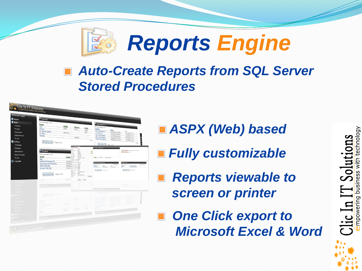

#### *Auto-Create Reports from SQL Server Stored Procedures*

| Welcome! asjad<br><b>E</b> Home | <sup>T</sup> Contacts                            |                       |                                                       |                         |              |                                                                    |                                                                                     |
|---------------------------------|--------------------------------------------------|-----------------------|-------------------------------------------------------|-------------------------|--------------|--------------------------------------------------------------------|-------------------------------------------------------------------------------------|
|                                 |                                                  |                       |                                                       |                         |              |                                                                    |                                                                                     |
| New                             | Showing Page 1 of 3<br>Name                      |                       |                                                       |                         |              | Appointments ( * )                                                 |                                                                                     |
| Contact                         | Vick                                             | Mobile                |                                                       |                         |              | Showing Page 1 of 3                                                |                                                                                     |
| Project                         | Minda                                            | Mobile                | Phonee<br>Work                                        | Email                   |              | Subject                                                            |                                                                                     |
|                                 | Mr. Bashar Dahan                                 |                       |                                                       | Work                    |              | From<br>This is test Appoint                                       | To                                                                                  |
| Document                        | Mr Wibo                                          | 6651379               |                                                       | auf                     |              | 5/10/2007 09:30:00<br>وقفيتهم<br>5/30/2007 09:30:00                | U12/2007 5: 0: 10                                                                   |
| Appointment                     | Rashida                                          |                       |                                                       |                         |              | This is test Appoint<br>5/30/2007 09:30:00                         | 1/17/2007 5:0:0                                                                     |
| To Do                           |                                                  |                       | 804818                                                |                         |              | This is test Appoint<br>5/30/2007 09:30:00<br>This is Test Appoint | 1/17/2007 \$ :0 :0<br>1/17/2007 5:0:0                                               |
| Listing                         |                                                  |                       |                                                       |                         | 123          | 5/30/2007 09:30:00                                                 | 1/17/2007 5:0-10                                                                    |
|                                 |                                                  |                       |                                                       |                         |              |                                                                    | g<br>g<br>123                                                                       |
| Contacts                        |                                                  |                       | <b>EN Experience Cycling</b>                          |                         |              | $R$ $R$ $R$ $R$ $R$ $R$ $R$                                        |                                                                                     |
| Projects                        |                                                  |                       | <b>Contact Detail</b>                                 | <b>Virks</b>            |              | <b>Control Service</b>                                             |                                                                                     |
| Documents                       | <i>i</i> c Projects                              |                       | stain As                                              | <b>Video</b>            |              |                                                                    | P 14/84/2010 Testiglions Call made                                                  |
|                                 |                                                  |                       |                                                       | Family<br>Default       | g,           |                                                                    | <b>Experience</b> that                                                              |
| Appointments                    | Showing Page 1 of 2                              |                       | Company<br>Jub Title                                  | Civi In IT<br>Job Title |              |                                                                    |                                                                                     |
| To Do                           | Name                                             |                       | Status Address<br><b>SILLE</b>                        | Address / Home          |              | <b>a Choose Cult Call Add To History !</b>                         |                                                                                     |
|                                 | test                                             |                       | Address / Work West                                   |                         |              |                                                                    |                                                                                     |
| Log Out                         | Resturant Manager123                             |                       | Completing the sa                                     |                         |              | <b>Strategie</b>                                                   | <b>Silvers</b>                                                                      |
|                                 | Accounting And Inventory<br><b>NTEC Web Site</b> | Continu <sup>To</sup> | ora i Home                                            | mone                    |              | <b>Shearing Bank 1 of 1</b><br><b>Siew Anne</b>                    | Showing Page 1 of 1<br>New York's                                                   |
|                                 | <b>Bunyan Web Site</b>                           |                       | Pendingmune : Non Werk<br>Continuing there made meter |                         |              | Sobject<br>Frees<br>$\frac{10}{1701/2007}$                         | <b>Due Date/Time</b><br>Subject<br>L/1/2010 texting                                 |
|                                 |                                                  |                       | Phone / Fax                                           | <b>Fax</b>              |              |                                                                    | $\boxed{a}$ $\boxed{a}$ $\boxed{b}$ $\boxed{b}$ $\boxed{b}$ $\boxed{b}$ $\boxed{b}$ |
|                                 |                                                  |                       | <b>Erral</b> (<br>Personal.                           | amribation & com-       |              |                                                                    |                                                                                     |
|                                 | M A M Page 1 of 2 -                              |                       | Email : Work<br>Web Site                              | <b>MAG</b><br>ses de    |              |                                                                    |                                                                                     |
|                                 |                                                  |                       | <b>Phone</b>                                          |                         | <b>Dover</b> |                                                                    |                                                                                     |
|                                 | <b>W</b> W                                       |                       |                                                       | Center<br>Update        |              |                                                                    |                                                                                     |
|                                 |                                                  |                       |                                                       |                         |              |                                                                    |                                                                                     |
|                                 |                                                  |                       |                                                       |                         |              |                                                                    |                                                                                     |
|                                 |                                                  |                       |                                                       |                         |              |                                                                    |                                                                                     |
|                                 |                                                  |                       |                                                       |                         |              |                                                                    |                                                                                     |
|                                 |                                                  |                       |                                                       |                         |              |                                                                    |                                                                                     |
|                                 |                                                  |                       |                                                       |                         |              |                                                                    |                                                                                     |
|                                 |                                                  |                       |                                                       |                         |              |                                                                    |                                                                                     |
|                                 |                                                  |                       |                                                       |                         |              |                                                                    |                                                                                     |
|                                 |                                                  |                       |                                                       |                         |              |                                                                    |                                                                                     |
|                                 | w                                                |                       |                                                       |                         |              |                                                                    |                                                                                     |
|                                 |                                                  |                       |                                                       |                         |              |                                                                    |                                                                                     |
|                                 |                                                  |                       |                                                       |                         |              |                                                                    |                                                                                     |
|                                 | 5.02                                             |                       |                                                       |                         |              |                                                                    |                                                                                     |
|                                 | toton                                            |                       |                                                       |                         |              |                                                                    |                                                                                     |
|                                 |                                                  |                       |                                                       |                         |              |                                                                    |                                                                                     |
|                                 |                                                  |                       |                                                       |                         |              |                                                                    |                                                                                     |

- *ASPX (Web) based*
- *Fully customizable*
	- *Reports viewable to screen or printer*
- *One Click export to Microsoft Excel & Word*

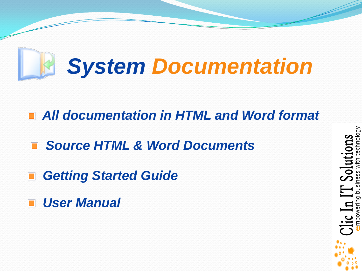

*All documentation in HTML and Word format*

*Source HTML & Word Documents*

*Getting Started Guide*

*User Manual*

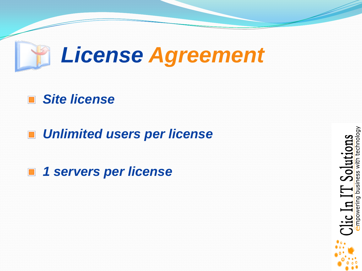

### *Site license*

*Unlimited users per license*

*1 servers per license*

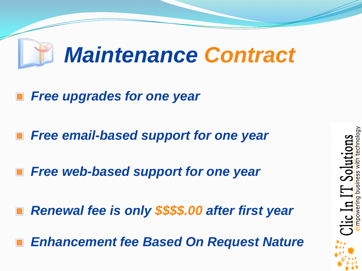## *Maintenance Contract*

- *Free upgrades for one year*
- *Free email-based support for one year*
- *Free web-based support for one year*
- *Renewal fee is only \$\$\$\$.00 after first year*
- *Enhancement fee Based On Request Nature*